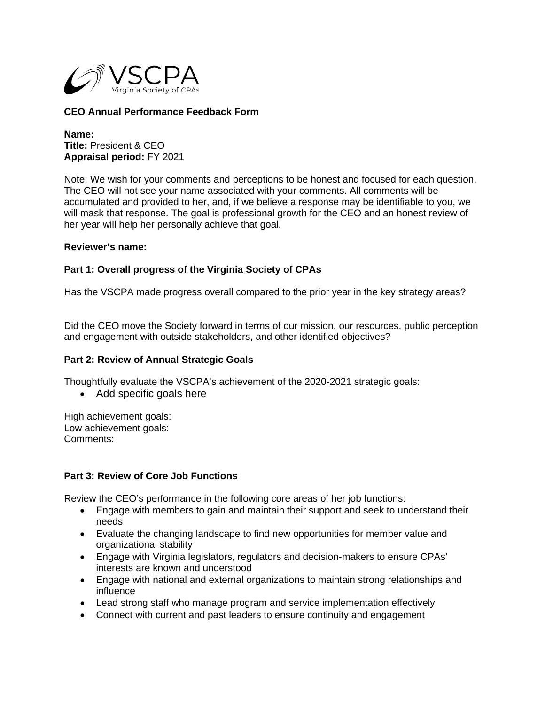

# **CEO Annual Performance Feedback Form**

**Name: Title:** President & CEO **Appraisal period:** FY 2021

Note: We wish for your comments and perceptions to be honest and focused for each question. The CEO will not see your name associated with your comments. All comments will be accumulated and provided to her, and, if we believe a response may be identifiable to you, we will mask that response. The goal is professional growth for the CEO and an honest review of her year will help her personally achieve that goal.

#### **Reviewer's name:**

## **Part 1: Overall progress of the Virginia Society of CPAs**

Has the VSCPA made progress overall compared to the prior year in the key strategy areas?

Did the CEO move the Society forward in terms of our mission, our resources, public perception and engagement with outside stakeholders, and other identified objectives?

## **Part 2: Review of Annual Strategic Goals**

Thoughtfully evaluate the VSCPA's achievement of the 2020-2021 strategic goals:

• Add specific goals here

High achievement goals: Low achievement goals: Comments:

## **Part 3: Review of Core Job Functions**

Review the CEO's performance in the following core areas of her job functions:

- Engage with members to gain and maintain their support and seek to understand their needs
- Evaluate the changing landscape to find new opportunities for member value and organizational stability
- Engage with Virginia legislators, regulators and decision-makers to ensure CPAs' interests are known and understood
- Engage with national and external organizations to maintain strong relationships and influence
- Lead strong staff who manage program and service implementation effectively
- Connect with current and past leaders to ensure continuity and engagement